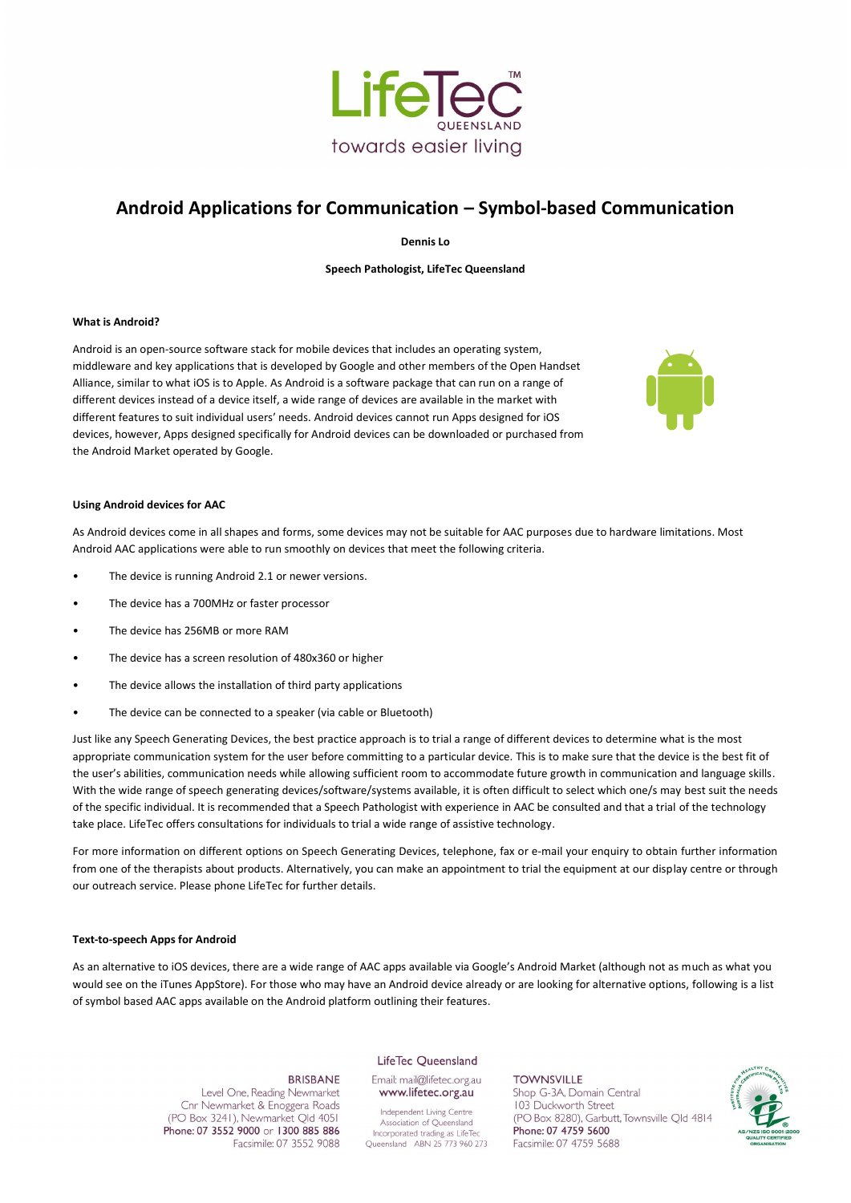

# **Android Applications for Communication – Symbol-based Communication**

**Dennis Lo**

**Speech Pathologist, LifeTec Queensland**

## **What is Android?**

Android is an open-source software stack for mobile devices that includes an operating system, middleware and key applications that is developed by Google and other members of the Open Handset Alliance, similar to what iOS is to Apple. As Android is a software package that can run on a range of different devices instead of a device itself, a wide range of devices are available in the market with different features to suit individual users' needs. Android devices cannot run Apps designed for iOS devices, however, Apps designed specifically for Android devices can be downloaded or purchased from the Android Market operated by Google.



### **Using Android devices for AAC**

As Android devices come in all shapes and forms, some devices may not be suitable for AAC purposes due to hardware limitations. Most Android AAC applications were able to run smoothly on devices that meet the following criteria.

- The device is running Android 2.1 or newer versions.
- The device has a 700MHz or faster processor
- The device has 256MB or more RAM
- The device has a screen resolution of 480x360 or higher
- The device allows the installation of third party applications
- The device can be connected to a speaker (via cable or Bluetooth)

Just like any Speech Generating Devices, the best practice approach is to trial a range of different devices to determine what is the most appropriate communication system for the user before committing to a particular device. This is to make sure that the device is the best fit of the user's abilities, communication needs while allowing sufficient room to accommodate future growth in communication and language skills. With the wide range of speech generating devices/software/systems available, it is often difficult to select which one/s may best suit the needs of the specific individual. It is recommended that a Speech Pathologist with experience in AAC be consulted and that a trial of the technology take place. LifeTec offers consultations for individuals to trial a wide range of assistive technology.

For more information on different options on Speech Generating Devices, telephone, fax or e-mail your enquiry to obtain further information from one of the therapists about products. Alternatively, you can make an appointment to trial the equipment at our display centre or through our outreach service. Please phone LifeTec for further details.

#### **Text-to-speech Apps for Android**

As an alternative to iOS devices, there are a wide range of AAC apps available via Google's Android Market (although not as much as what you would see on the iTunes AppStore). For those who may have an Android device already or are looking for alternative options, following is a list of symbol based AAC apps available on the Android platform outlining their features.

## LifeTec Queensland

#### **BRISBANE**

Level One, Reading Newmarket Cnr Newmarket & Enoggera Roads (PO Box 3241), Newmarket Qld 4051 Phone: 07 3552 9000 or 1300 885 886 Facsimile: 07 3552 9088 Email: mail@lifetec.org.au www.lifetec.org.au

Independent Living Centre Association of Queensland Incorporated trading as LifeTec Queensland ABN 25 773 960 273

**TOWNSVILLE** Shop G-3A, Domain Central 103 Duckworth Street (PO Box 8280), Garbutt, Townsville Old 4814 Phone: 07 4759 5600 Facsimile: 07 4759 5688